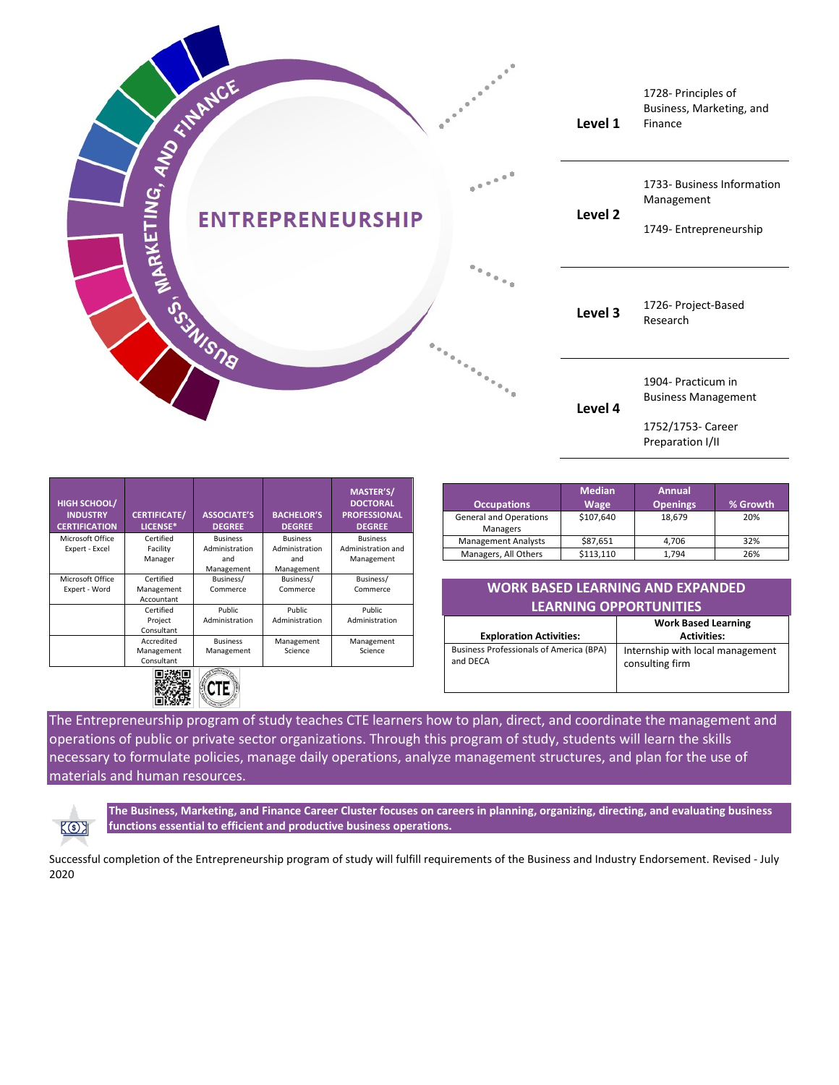

| <b>HIGH SCHOOL/</b><br><b>INDUSTRY</b><br><b>CERTIFICATION</b> | <b>CERTIFICATE/</b><br>LICENSE* | <b>ASSOCIATE'S</b><br><b>DEGREE</b> | <b>BACHELOR'S</b><br><b>DEGREE</b> | <b>MASTER'S/</b><br><b>DOCTORAL</b><br><b>PROFESSIONAL</b><br><b>DEGREE</b> |
|----------------------------------------------------------------|---------------------------------|-------------------------------------|------------------------------------|-----------------------------------------------------------------------------|
| Microsoft Office                                               | Certified                       | <b>Business</b>                     | <b>Business</b>                    | <b>Business</b>                                                             |
| Expert - Excel                                                 | Facility                        | Administration                      | Administration                     | Administration and                                                          |
|                                                                | Manager                         | and                                 | and                                | Management                                                                  |
|                                                                |                                 | Management                          | Management                         |                                                                             |
| Microsoft Office                                               | Certified                       | Business/                           | Business/                          | Business/                                                                   |
| Expert - Word                                                  | Management                      | Commerce                            | Commerce                           | Commerce                                                                    |
|                                                                | Accountant                      |                                     |                                    |                                                                             |
|                                                                | Certified                       | Public.                             | <b>Public</b>                      | <b>Public</b>                                                               |
|                                                                | Project                         | Administration                      | Administration                     | Administration                                                              |
|                                                                | Consultant                      |                                     |                                    |                                                                             |
|                                                                | Accredited                      | <b>Business</b>                     | Management                         | Management                                                                  |
|                                                                | Management                      | Management                          | Science                            | Science                                                                     |
|                                                                | Consultant                      |                                     |                                    |                                                                             |
|                                                                | 回游街口                            | Technic                             |                                    |                                                                             |

| ۱ï<br>.,                |  |
|-------------------------|--|
| c.<br>د ب<br>о<br>ora - |  |

| <b>Occupations</b>                        | <b>Median</b><br><b>Wage</b> | <b>Annual</b><br><b>Openings</b> | % Growth |
|-------------------------------------------|------------------------------|----------------------------------|----------|
| <b>General and Operations</b><br>Managers | \$107,640                    | 18.679                           | 20%      |
| <b>Management Analysts</b>                | \$87,651                     | 4.706                            | 32%      |
| Managers, All Others                      | \$113,110                    | 1.794                            | 26%      |

## **WORK BASED LEARNING AND EXPANDED LEARNING OPPORTUNITIES**

|                                                            | <b>Work Based Learning</b>                          |  |
|------------------------------------------------------------|-----------------------------------------------------|--|
| <b>Exploration Activities:</b>                             | <b>Activities:</b>                                  |  |
| <b>Business Professionals of America (BPA)</b><br>and DECA | Internship with local management<br>consulting firm |  |

The Entrepreneurship program of study teaches CTE learners how to plan, direct, and coordinate the management and operations of public or private sector organizations. Through this program of study, students will learn the skills necessary to formulate policies, manage daily operations, analyze management structures, and plan for the use of materials and human resources.

 $K$ 3

**The Business, Marketing, and Finance Career Cluster focuses on careers in planning, organizing, directing, and evaluating business functions essential to efficient and productive business operations.**

Successful completion of the Entrepreneurship program of study will fulfill requirements of the Business and Industry Endorsement. Revised - July 2020